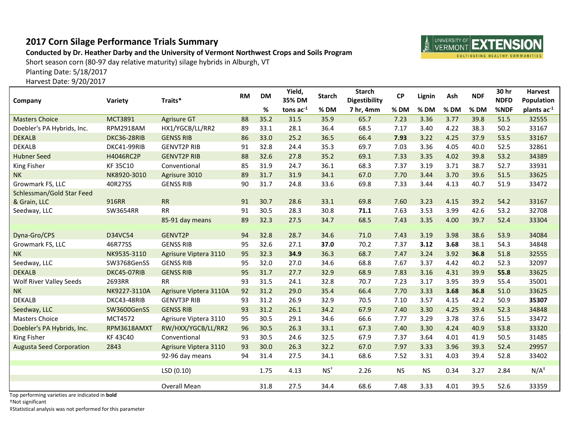## **2017 Corn Silage Performance Trials Summary**

## **Conducted by Dr. Heather Darby and the University of Vermont Northwest Crops and Soils Program**

Short season corn (80-97 day relative maturity) silage hybrids in Alburgh, VT

Planting Date: 5/18/2017

Harvest Date: 9/20/2017

| Company                                             | Variety          | Traits*                | <b>RM</b> | <b>DM</b> | Yield,<br>35% DM | <b>Starch</b> | <b>Starch</b><br><b>Digestibility</b> | <b>CP</b> | Lignin    | Ash    | <b>NDF</b> | 30 hr<br><b>NDFD</b> | <b>Harvest</b><br><b>Population</b> |
|-----------------------------------------------------|------------------|------------------------|-----------|-----------|------------------|---------------|---------------------------------------|-----------|-----------|--------|------------|----------------------|-------------------------------------|
|                                                     |                  |                        |           | %         | tons $ac^{-1}$   | % DM          | 7 hr, 4mm                             | % DM      | % DM      | $%$ DM | % DM       | %NDF                 | plants ac-1                         |
| <b>Masters Choice</b>                               | <b>MCT3891</b>   | <b>Agrisure GT</b>     | 88        | 35.2      | 31.5             | 35.9          | 65.7                                  | 7.23      | 3.36      | 3.77   | 39.8       | 51.5                 | 32555                               |
| Doebler's PA Hybrids, Inc.                          | <b>RPM2918AM</b> | HX1/YGCB/LL/RR2        | 89        | 33.1      | 28.1             | 36.4          | 68.5                                  | 7.17      | 3.40      | 4.22   | 38.3       | 50.2                 | 33167                               |
| <b>DEKALB</b>                                       | DKC36-28RIB      | <b>GENSS RIB</b>       | 86        | 33.0      | 25.2             | 36.5          | 66.4                                  | 7.93      | 3.22      | 4.25   | 37.9       | 53.5                 | 33167                               |
| <b>DEKALB</b>                                       | DKC41-99RIB      | <b>GENVT2P RIB</b>     | 91        | 32.8      | 24.4             | 35.3          | 69.7                                  | 7.03      | 3.36      | 4.05   | 40.0       | 52.5                 | 32861                               |
| <b>Hubner Seed</b>                                  | H4046RC2P        | <b>GENVT2P RIB</b>     | 88        | 32.6      | 27.8             | 35.2          | 69.1                                  | 7.33      | 3.35      | 4.02   | 39.8       | 53.2                 | 34389                               |
| King Fisher                                         | <b>KF35C10</b>   | Conventional           | 85        | 31.9      | 24.7             | 36.1          | 68.3                                  | 7.37      | 3.19      | 3.71   | 38.7       | 52.7                 | 33931                               |
| <b>NK</b>                                           | NK8920-3010      | Agrisure 3010          | 89        | 31.7      | 31.9             | 34.1          | 67.0                                  | 7.70      | 3.44      | 3.70   | 39.6       | 51.5                 | 33625                               |
| Growmark FS, LLC                                    | 40R27SS          | <b>GENSS RIB</b>       | 90        | 31.7      | 24.8             | 33.6          | 69.8                                  | 7.33      | 3.44      | 4.13   | 40.7       | 51.9                 | 33472                               |
| Schlessman/Gold Star Feed                           |                  |                        |           |           |                  |               |                                       |           |           |        |            |                      |                                     |
| & Grain, LLC                                        | 916RR            | <b>RR</b>              | 91        | 30.7      | 28.6             | 33.1          | 69.8                                  | 7.60      | 3.23      | 4.15   | 39.2       | 54.2                 | 33167                               |
| Seedway, LLC                                        | SW3654RR         | <b>RR</b>              | 91        | 30.5      | 28.3             | 30.8          | 71.1                                  | 7.63      | 3.53      | 3.99   | 42.6       | 53.2                 | 32708                               |
|                                                     |                  | 85-91 day means        | 89        | 32.3      | 27.5             | 34.7          | 68.5                                  | 7.43      | 3.35      | 4.00   | 39.7       | 52.4                 | 33304                               |
| Dyna-Gro/CPS                                        | D34VC54          | GENVT2P                | 94        | 32.8      | 28.7             | 34.6          | 71.0                                  | 7.43      | 3.19      | 3.98   | 38.6       | 53.9                 | 34084                               |
| Growmark FS, LLC                                    | 46R77SS          | <b>GENSS RIB</b>       | 95        | 32.6      | 27.1             | 37.0          | 70.2                                  | 7.37      | 3.12      | 3.68   | 38.1       | 54.3                 | 34848                               |
| <b>NK</b>                                           | NK9535-3110      | Agrisure Viptera 3110  | 95        | 32.3      | 34.9             | 36.3          | 68.7                                  | 7.47      | 3.24      | 3.92   | 36.8       | 51.8                 | 32555                               |
| Seedway, LLC                                        | SW3768GenSS      | <b>GENSS RIB</b>       | 95        | 32.0      | 27.0             | 34.6          | 68.8                                  | 7.67      | 3.37      | 4.42   | 40.2       | 52.3                 | 32097                               |
| <b>DEKALB</b>                                       | DKC45-07RIB      | <b>GENSS RIB</b>       | 95        | 31.7      | 27.7             | 32.9          | 68.9                                  | 7.83      | 3.16      | 4.31   | 39.9       | 55.8                 | 33625                               |
| <b>Wolf River Valley Seeds</b>                      | 2693RR           | <b>RR</b>              | 93        | 31.5      | 24.1             | 32.8          | 70.7                                  | 7.23      | 3.17      | 3.95   | 39.9       | 55.4                 | 35001                               |
| <b>NK</b>                                           | NK9227-3110A     | Agrisure Viptera 3110A | 92        | 31.2      | 29.0             | 35.4          | 66.4                                  | 7.70      | 3.33      | 3.68   | 36.8       | 51.0                 | 33625                               |
| <b>DEKALB</b>                                       | DKC43-48RIB      | <b>GENVT3P RIB</b>     | 93        | 31.2      | 26.9             | 32.9          | 70.5                                  | 7.10      | 3.57      | 4.15   | 42.2       | 50.9                 | 35307                               |
| Seedway, LLC                                        | SW3600GenSS      | <b>GENSS RIB</b>       | 93        | 31.2      | 26.1             | 34.2          | 67.9                                  | 7.40      | 3.30      | 4.25   | 39.4       | 52.3                 | 34848                               |
| <b>Masters Choice</b>                               | <b>MCT4572</b>   | Agrisure Viptera 3110  | 95        | 30.5      | 29.1             | 34.6          | 66.6                                  | 7.77      | 3.29      | 3.78   | 37.6       | 51.5                 | 33472                               |
| Doebler's PA Hybrids, Inc.                          | RPM3618AMXT      | RW/HXX/YGCB/LL/RR2     | 96        | 30.5      | 26.3             | 33.1          | 67.3                                  | 7.40      | 3.30      | 4.24   | 40.9       | 53.8                 | 33320                               |
| King Fisher                                         | KF 43C40         | Conventional           | 93        | 30.5      | 24.6             | 32.5          | 67.9                                  | 7.37      | 3.64      | 4.01   | 41.9       | 50.5                 | 31485                               |
| <b>Augusta Seed Corporation</b>                     | 2843             | Agrisure Viptera 3110  | 93        | 30.0      | 26.3             | 32.2          | 67.0                                  | 7.97      | 3.33      | 3.96   | 39.3       | 52.4                 | 29957                               |
|                                                     |                  | 92-96 day means        | 94        | 31.4      | 27.5             | 34.1          | 68.6                                  | 7.52      | 3.31      | 4.03   | 39.4       | 52.8                 | 33402                               |
|                                                     |                  | LSD(0.10)              |           | 1.75      | 4.13             | $NS+$         | 2.26                                  | <b>NS</b> | <b>NS</b> | 0.34   | 3.27       | 2.84                 | $N/A^{\ddagger}$                    |
|                                                     |                  |                        |           |           |                  |               |                                       |           |           |        |            |                      |                                     |
| and the state of a state of the state<br>والمحاويات |                  | Overall Mean           |           | 31.8      | 27.5             | 34.4          | 68.6                                  | 7.48      | 3.33      | 4.01   | 39.5       | 52.6                 | 33359                               |

Top performing varieties are indicated in **bold**

†Not significant

‡Statistical analysis was not performed for this parameter